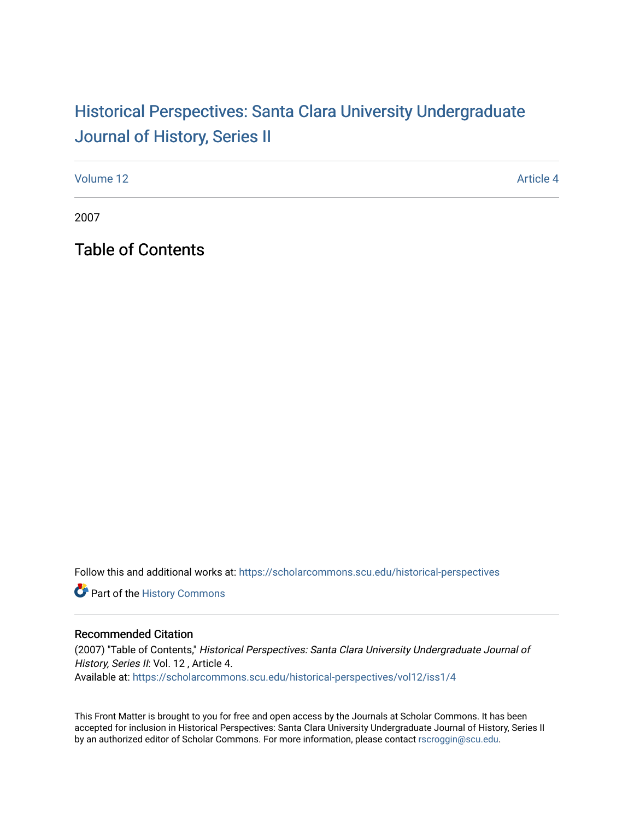# Historical Perspectiv[es: Santa Clara University Under](https://scholarcommons.scu.edu/historical-perspectives)graduate [Journal of History, Series II](https://scholarcommons.scu.edu/historical-perspectives)

[Volume 12](https://scholarcommons.scu.edu/historical-perspectives/vol12) Article 4

2007

Table of Contents

Follow this and additional works at: [https://scholarcommons.scu.edu/historical-perspectives](https://scholarcommons.scu.edu/historical-perspectives?utm_source=scholarcommons.scu.edu%2Fhistorical-perspectives%2Fvol12%2Fiss1%2F4&utm_medium=PDF&utm_campaign=PDFCoverPages) 

Part of the [History Commons](http://network.bepress.com/hgg/discipline/489?utm_source=scholarcommons.scu.edu%2Fhistorical-perspectives%2Fvol12%2Fiss1%2F4&utm_medium=PDF&utm_campaign=PDFCoverPages) 

#### Recommended Citation

(2007) "Table of Contents," Historical Perspectives: Santa Clara University Undergraduate Journal of History, Series II: Vol. 12, Article 4. Available at: [https://scholarcommons.scu.edu/historical-perspectives/vol12/iss1/4](https://scholarcommons.scu.edu/historical-perspectives/vol12/iss1/4?utm_source=scholarcommons.scu.edu%2Fhistorical-perspectives%2Fvol12%2Fiss1%2F4&utm_medium=PDF&utm_campaign=PDFCoverPages) 

This Front Matter is brought to you for free and open access by the Journals at Scholar Commons. It has been accepted for inclusion in Historical Perspectives: Santa Clara University Undergraduate Journal of History, Series II by an authorized editor of Scholar Commons. For more information, please contact [rscroggin@scu.edu.](mailto:rscroggin@scu.edu)